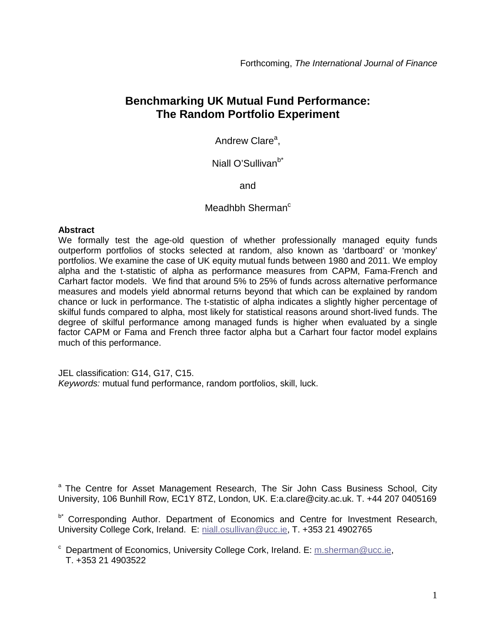# **Benchmarking UK Mutual Fund Performance: The Random Portfolio Experiment**

Andrew Clare<sup>a</sup>,

## Niall O'Sullivan<sup>b\*</sup>

and

## Meadhbh Sherman $<sup>c</sup>$ </sup>

## **Abstract**

We formally test the age-old question of whether professionally managed equity funds outperform portfolios of stocks selected at random, also known as 'dartboard' or 'monkey' portfolios. We examine the case of UK equity mutual funds between 1980 and 2011. We employ alpha and the t-statistic of alpha as performance measures from CAPM, Fama-French and Carhart factor models. We find that around 5% to 25% of funds across alternative performance measures and models yield abnormal returns beyond that which can be explained by random chance or luck in performance. The t-statistic of alpha indicates a slightly higher percentage of skilful funds compared to alpha, most likely for statistical reasons around short-lived funds. The degree of skilful performance among managed funds is higher when evaluated by a single factor CAPM or Fama and French three factor alpha but a Carhart four factor model explains much of this performance.

JEL classification: G14, G17, C15. *Keywords:* mutual fund performance, random portfolios, skill, luck.

<sup>a</sup> The Centre for Asset Management Research, The Sir John Cass Business School, City University, 106 Bunhill Row, EC1Y 8TZ, London, UK. E:a.clare@city.ac.uk. T. +44 207 0405169

b<sup>\*</sup> Corresponding Author. Department of Economics and Centre for Investment Research, University College Cork, Ireland. E: [niall.osullivan@ucc.ie,](mailto:niall.osullivan@ucc.ie) T. +353 21 4902765

 $c$  Department of Economics, University College Cork, Ireland. E: [m.sherman@ucc.ie,](mailto:m.sherman@ucc.ie) T. +353 21 4903522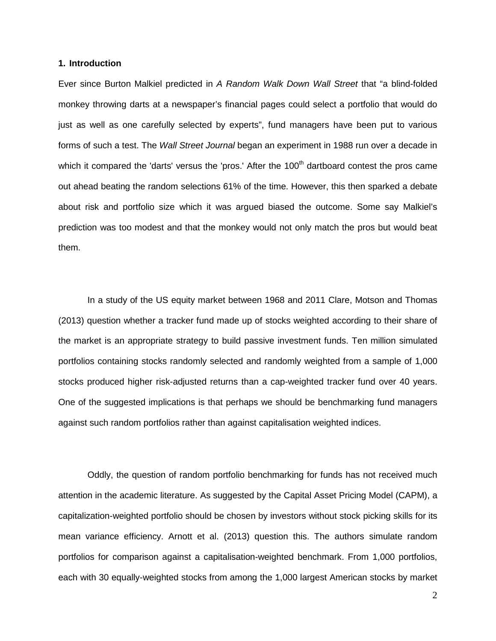## **1. Introduction**

Ever since Burton Malkiel predicted in *A Random Walk Down Wall Street* that "a blind-folded monkey throwing darts at a newspaper's financial pages could select a portfolio that would do just as well as one carefully selected by experts", fund managers have been put to various forms of such a test. The *Wall Street Journal* began an experiment in 1988 run over a decade in which it compared the 'darts' versus the 'pros.' After the  $100<sup>th</sup>$  dartboard contest the pros came out ahead beating the random selections 61% of the time. However, this then sparked a debate about risk and portfolio size which it was argued biased the outcome. Some say Malkiel's prediction was too modest and that the monkey would not only match the pros but would beat them.

In a study of the US equity market between 1968 and 2011 Clare, Motson and Thomas (2013) question whether a tracker fund made up of stocks weighted according to their share of the market is an appropriate strategy to build passive investment funds. Ten million simulated portfolios containing stocks randomly selected and randomly weighted from a sample of 1,000 stocks produced higher risk-adjusted returns than a cap-weighted tracker fund over 40 years. One of the suggested implications is that perhaps we should be benchmarking fund managers against such random portfolios rather than against capitalisation weighted indices.

Oddly, the question of random portfolio benchmarking for funds has not received much attention in the academic literature. As suggested by the Capital Asset Pricing Model (CAPM), a capitalization-weighted portfolio should be chosen by investors without stock picking skills for its mean variance efficiency. Arnott et al. (2013) question this. The authors simulate random portfolios for comparison against a capitalisation-weighted benchmark. From 1,000 portfolios, each with 30 equally-weighted stocks from among the 1,000 largest American stocks by market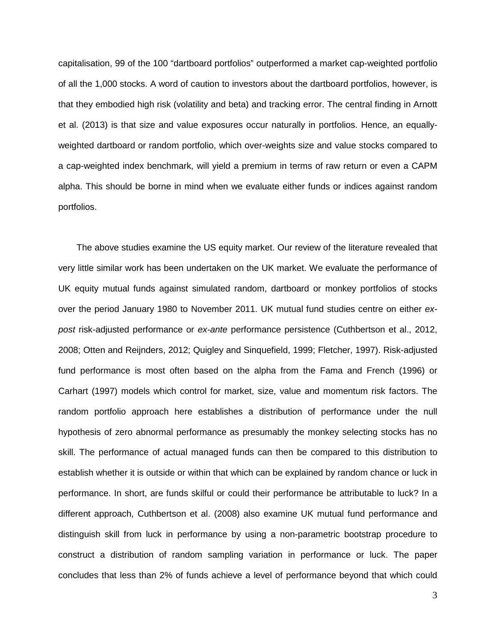capitalisation, 99 of the 100 "dartboard portfolios" outperformed a market cap-weighted portfolio of all the 1,000 stocks. A word of caution to investors about the dartboard portfolios, however, is that they embodied high risk (volatility and beta) and tracking error. The central finding in Arnott et al. (2013) is that size and value exposures occur naturally in portfolios. Hence, an equallyweighted dartboard or random portfolio, which over-weights size and value stocks compared to a cap-weighted index benchmark, will yield a premium in terms of raw return or even a CAPM alpha. This should be borne in mind when we evaluate either funds or indices against random portfolios.

The above studies examine the US equity market. Our review of the literature revealed that very little similar work has been undertaken on the UK market. We evaluate the performance of UK equity mutual funds against simulated random, dartboard or monkey portfolios of stocks over the period January 1980 to November 2011. UK mutual fund studies centre on either *expost* risk-adjusted performance or *ex-ante* performance persistence (Cuthbertson et al., 2012, 2008; Otten and Reijnders, 2012; Quigley and Sinquefield, 1999; Fletcher, 1997). Risk-adjusted fund performance is most often based on the alpha from the Fama and French (1996) or Carhart (1997) models which control for market, size, value and momentum risk factors. The random portfolio approach here establishes a distribution of performance under the null hypothesis of zero abnormal performance as presumably the monkey selecting stocks has no skill. The performance of actual managed funds can then be compared to this distribution to establish whether it is outside or within that which can be explained by random chance or luck in performance. In short, are funds skilful or could their performance be attributable to luck? In a different approach, Cuthbertson et al. (2008) also examine UK mutual fund performance and distinguish skill from luck in performance by using a non-parametric bootstrap procedure to construct a distribution of random sampling variation in performance or luck. The paper concludes that less than 2% of funds achieve a level of performance beyond that which could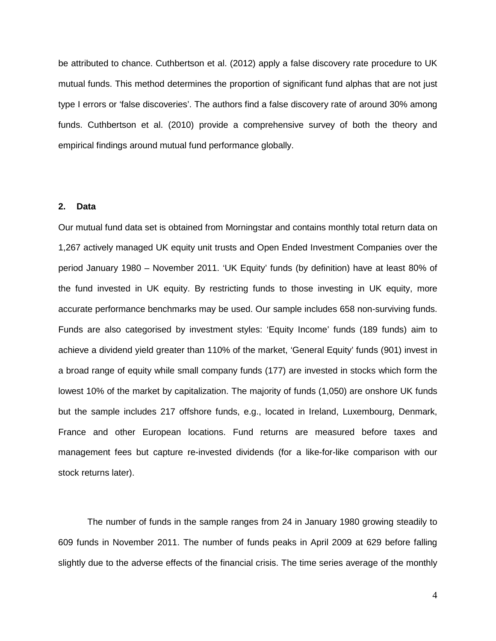be attributed to chance. Cuthbertson et al. (2012) apply a false discovery rate procedure to UK mutual funds. This method determines the proportion of significant fund alphas that are not just type I errors or 'false discoveries'. The authors find a false discovery rate of around 30% among funds. Cuthbertson et al. (2010) provide a comprehensive survey of both the theory and empirical findings around mutual fund performance globally.

## **2. Data**

Our mutual fund data set is obtained from Morningstar and contains monthly total return data on 1,267 actively managed UK equity unit trusts and Open Ended Investment Companies over the period January 1980 – November 2011. 'UK Equity' funds (by definition) have at least 80% of the fund invested in UK equity. By restricting funds to those investing in UK equity, more accurate performance benchmarks may be used. Our sample includes 658 non-surviving funds. Funds are also categorised by investment styles: 'Equity Income' funds (189 funds) aim to achieve a dividend yield greater than 110% of the market, 'General Equity' funds (901) invest in a broad range of equity while small company funds (177) are invested in stocks which form the lowest 10% of the market by capitalization. The majority of funds (1,050) are onshore UK funds but the sample includes 217 offshore funds, e.g., located in Ireland, Luxembourg, Denmark, France and other European locations. Fund returns are measured before taxes and management fees but capture re-invested dividends (for a like-for-like comparison with our stock returns later).

The number of funds in the sample ranges from 24 in January 1980 growing steadily to 609 funds in November 2011. The number of funds peaks in April 2009 at 629 before falling slightly due to the adverse effects of the financial crisis. The time series average of the monthly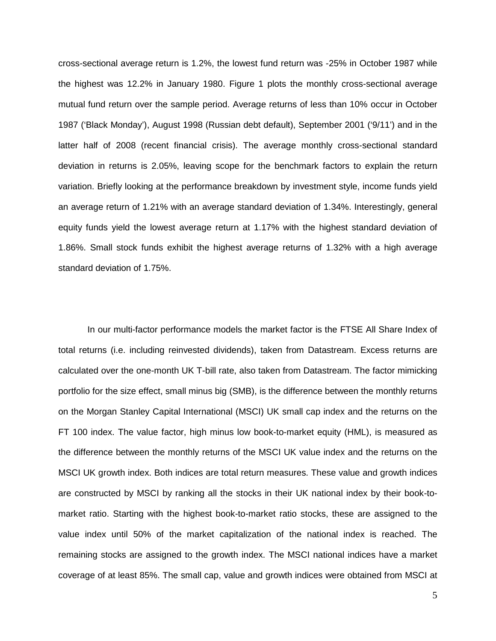cross-sectional average return is 1.2%, the lowest fund return was -25% in October 1987 while the highest was 12.2% in January 1980. Figure 1 plots the monthly cross-sectional average mutual fund return over the sample period. Average returns of less than 10% occur in October 1987 ('Black Monday'), August 1998 (Russian debt default), September 2001 ('9/11') and in the latter half of 2008 (recent financial crisis). The average monthly cross-sectional standard deviation in returns is 2.05%, leaving scope for the benchmark factors to explain the return variation. Briefly looking at the performance breakdown by investment style, income funds yield an average return of 1.21% with an average standard deviation of 1.34%. Interestingly, general equity funds yield the lowest average return at 1.17% with the highest standard deviation of 1.86%. Small stock funds exhibit the highest average returns of 1.32% with a high average standard deviation of 1.75%.

In our multi-factor performance models the market factor is the FTSE All Share Index of total returns (i.e. including reinvested dividends), taken from Datastream. Excess returns are calculated over the one-month UK T-bill rate, also taken from Datastream. The factor mimicking portfolio for the size effect, small minus big (SMB), is the difference between the monthly returns on the Morgan Stanley Capital International (MSCI) UK small cap index and the returns on the FT 100 index. The value factor, high minus low book-to-market equity (HML), is measured as the difference between the monthly returns of the MSCI UK value index and the returns on the MSCI UK growth index. Both indices are total return measures. These value and growth indices are constructed by MSCI by ranking all the stocks in their UK national index by their book-tomarket ratio. Starting with the highest book-to-market ratio stocks, these are assigned to the value index until 50% of the market capitalization of the national index is reached. The remaining stocks are assigned to the growth index. The MSCI national indices have a market coverage of at least 85%. The small cap, value and growth indices were obtained from MSCI at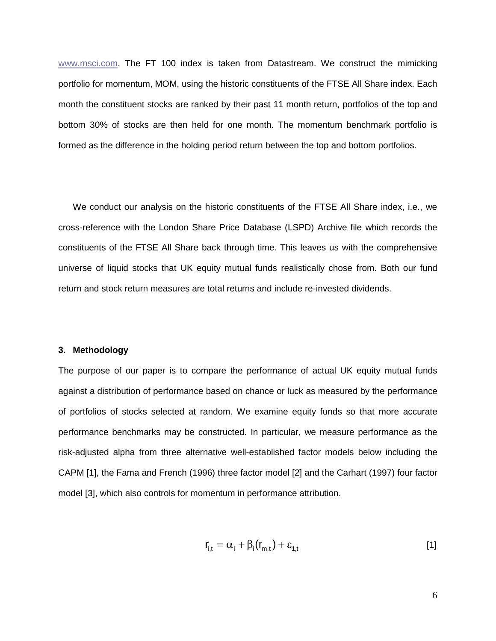[www.msci.com.](http://www.msci.com/) The FT 100 index is taken from Datastream. We construct the mimicking portfolio for momentum, MOM, using the historic constituents of the FTSE All Share index. Each month the constituent stocks are ranked by their past 11 month return, portfolios of the top and bottom 30% of stocks are then held for one month. The momentum benchmark portfolio is formed as the difference in the holding period return between the top and bottom portfolios.

We conduct our analysis on the historic constituents of the FTSE All Share index, i.e., we cross-reference with the London Share Price Database (LSPD) Archive file which records the constituents of the FTSE All Share back through time. This leaves us with the comprehensive universe of liquid stocks that UK equity mutual funds realistically chose from. Both our fund return and stock return measures are total returns and include re-invested dividends.

## **3. Methodology**

The purpose of our paper is to compare the performance of actual UK equity mutual funds against a distribution of performance based on chance or luck as measured by the performance of portfolios of stocks selected at random. We examine equity funds so that more accurate performance benchmarks may be constructed. In particular, we measure performance as the risk-adjusted alpha from three alternative well-established factor models below including the CAPM [1], the Fama and French (1996) three factor model [2] and the Carhart (1997) four factor model [3], which also controls for momentum in performance attribution.

$$
\mathbf{r}_{i,t} = \alpha_i + \beta_i(\mathbf{r}_{m,t}) + \varepsilon_{1,t} \tag{1}
$$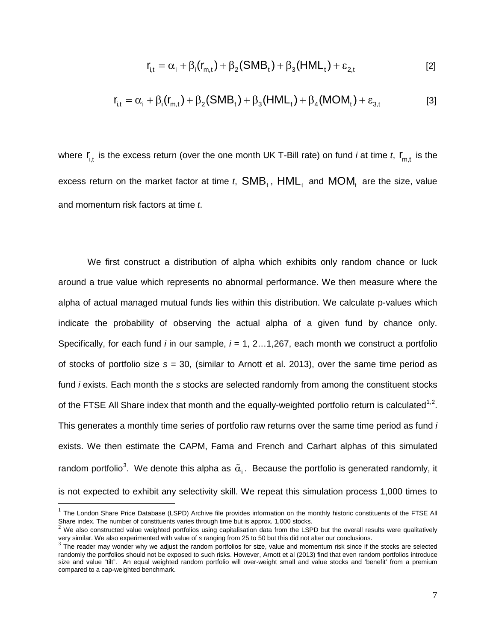$$
r_{i,t} = \alpha_i + \beta_i (r_{m,t}) + \beta_2 (SMB_t) + \beta_3 (HML_t) + \varepsilon_{2,t}
$$
 [2]

$$
\mathbf{r}_{i,t} = \alpha_i + \beta_i(\mathbf{r}_{m,t}) + \beta_2(SMB_t) + \beta_3(HML_t) + \beta_4(MOM_t) + \varepsilon_{3,t}
$$
 [3]

where  $\mathbf{r}_{i,t}$  is the excess return (over the one month UK T-Bill rate) on fund *i* at time *t*,  $\mathbf{r}_{m,t}$  is the excess return on the market factor at time  $t$ ,  $SMB_t$ ,  $HML_t$  and  $MOM_t$  are the size, value and momentum risk factors at time *t*.

We first construct a distribution of alpha which exhibits only random chance or luck around a true value which represents no abnormal performance. We then measure where the alpha of actual managed mutual funds lies within this distribution. We calculate p-values which indicate the probability of observing the actual alpha of a given fund by chance only. Specifically, for each fund *i* in our sample, *i* = 1, 2…1,267, each month we construct a portfolio of stocks of portfolio size *s* = 30, (similar to Arnott et al. 2013), over the same time period as fund *i* exists. Each month the *s* stocks are selected randomly from among the constituent stocks of the FTSE All Share index that month and the equally-weighted portfolio return is calculated<sup>[1,](#page-6-0)[2](#page-6-1)</sup>. This generates a monthly time series of portfolio raw returns over the same time period as fund *i* exists. We then estimate the CAPM, Fama and French and Carhart alphas of this simulated random portfolio $^3$  $^3$ . We denote this alpha as  $\,\tilde{\alpha}_{\mathfrak{j}}$ . Because the portfolio is generated randomly, it is not expected to exhibit any selectivity skill. We repeat this simulation process 1,000 times to

 $\overline{a}$ 

<span id="page-6-0"></span> $<sup>1</sup>$  The London Share Price Database (LSPD) Archive file provides information on the monthly historic constituents of the FTSE All</sup> Share index. The number of constituents varies through time but is approx. 1,000 stocks.

<span id="page-6-1"></span> $2$  We also constructed value weighted portfolios using capitalisation data from the LSPD but the overall results were qualitatively or and the state of standard form of the state in the state of the state in the state in the state in the state in the state in the state in the state in the state in the state in the state in the state in the state is an

<span id="page-6-2"></span>randomly the portfolios should not be exposed to such risks. However, Arnott et al (2013) find that even random portfolios introduce size and value "tilt". An equal weighted random portfolio will over-weight small and value stocks and 'benefit' from a premium compared to a cap-weighted benchmark.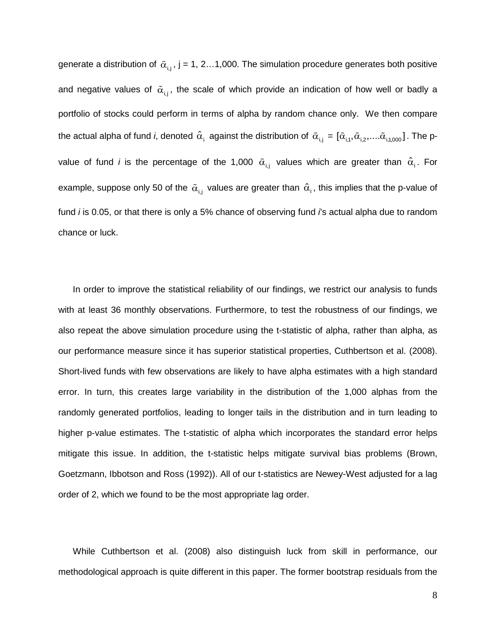generate a distribution of  $\tilde{\alpha}_{i,j}$ , j = 1, 2...1,000. The simulation procedure generates both positive and negative values of  $\tilde{\alpha}_{i,j}$ , the scale of which provide an indication of how well or badly a portfolio of stocks could perform in terms of alpha by random chance only. We then compare the actual alpha of fund *i*, denoted  $\hat{\alpha}_i$  against the distribution of  $\tilde{\alpha}_{i,j} = [\tilde{\alpha}_{i,1}, \tilde{\alpha}_{i,2},...,\tilde{\alpha}_{i,1000}]$ . The pvalue of fund *i* is the percentage of the 1,000  $\tilde{\alpha}_{i,j}$  values which are greater than  $\hat{\alpha}_{i}$ . For example, suppose only 50 of the  $\tilde{\alpha}_{i,j}$  values are greater than  $\hat{\alpha}_{i}$ , this implies that the p-value of fund *i* is 0.05, or that there is only a 5% chance of observing fund *i*'s actual alpha due to random chance or luck.

In order to improve the statistical reliability of our findings, we restrict our analysis to funds with at least 36 monthly observations. Furthermore, to test the robustness of our findings, we also repeat the above simulation procedure using the t-statistic of alpha, rather than alpha, as our performance measure since it has superior statistical properties, Cuthbertson et al. (2008). Short-lived funds with few observations are likely to have alpha estimates with a high standard error. In turn, this creates large variability in the distribution of the 1,000 alphas from the randomly generated portfolios, leading to longer tails in the distribution and in turn leading to higher p-value estimates. The t-statistic of alpha which incorporates the standard error helps mitigate this issue. In addition, the t-statistic helps mitigate survival bias problems (Brown, Goetzmann, Ibbotson and Ross (1992)). All of our t-statistics are Newey-West adjusted for a lag order of 2, which we found to be the most appropriate lag order.

While Cuthbertson et al. (2008) also distinguish luck from skill in performance, our methodological approach is quite different in this paper. The former bootstrap residuals from the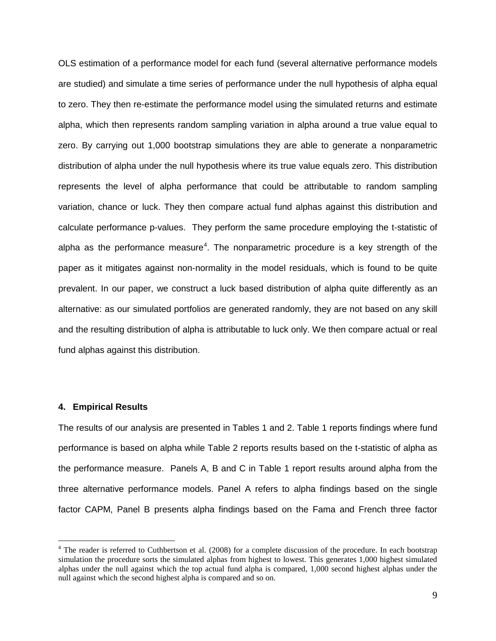OLS estimation of a performance model for each fund (several alternative performance models are studied) and simulate a time series of performance under the null hypothesis of alpha equal to zero. They then re-estimate the performance model using the simulated returns and estimate alpha, which then represents random sampling variation in alpha around a true value equal to zero. By carrying out 1,000 bootstrap simulations they are able to generate a nonparametric distribution of alpha under the null hypothesis where its true value equals zero. This distribution represents the level of alpha performance that could be attributable to random sampling variation, chance or luck. They then compare actual fund alphas against this distribution and calculate performance p-values. They perform the same procedure employing the t-statistic of alpha as the performance measure<sup>[4](#page-8-0)</sup>. The nonparametric procedure is a key strength of the paper as it mitigates against non-normality in the model residuals, which is found to be quite prevalent. In our paper, we construct a luck based distribution of alpha quite differently as an alternative: as our simulated portfolios are generated randomly, they are not based on any skill and the resulting distribution of alpha is attributable to luck only. We then compare actual or real fund alphas against this distribution.

## **4. Empirical Results**

 $\overline{a}$ 

The results of our analysis are presented in Tables 1 and 2. Table 1 reports findings where fund performance is based on alpha while Table 2 reports results based on the t-statistic of alpha as the performance measure. Panels A, B and C in Table 1 report results around alpha from the three alternative performance models. Panel A refers to alpha findings based on the single factor CAPM, Panel B presents alpha findings based on the Fama and French three factor

<span id="page-8-0"></span><sup>&</sup>lt;sup>4</sup> The reader is referred to Cuthbertson et al. (2008) for a complete discussion of the procedure. In each bootstrap simulation the procedure sorts the simulated alphas from highest to lowest. This generates 1,000 highest simulated alphas under the null against which the top actual fund alpha is compared, 1,000 second highest alphas under the null against which the second highest alpha is compared and so on.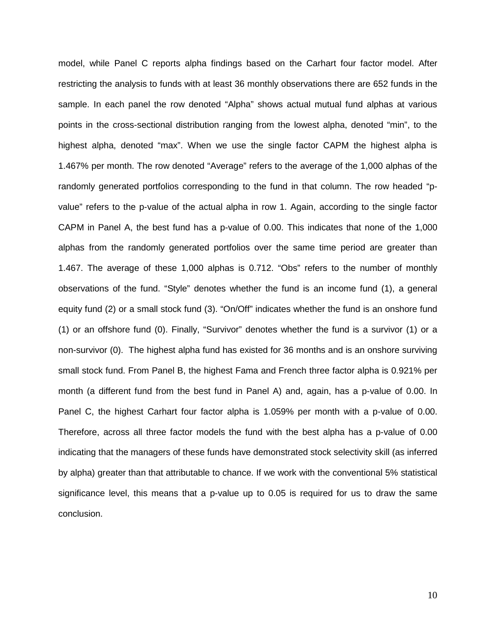model, while Panel C reports alpha findings based on the Carhart four factor model. After restricting the analysis to funds with at least 36 monthly observations there are 652 funds in the sample. In each panel the row denoted "Alpha" shows actual mutual fund alphas at various points in the cross-sectional distribution ranging from the lowest alpha, denoted "min", to the highest alpha, denoted "max". When we use the single factor CAPM the highest alpha is 1.467% per month. The row denoted "Average" refers to the average of the 1,000 alphas of the randomly generated portfolios corresponding to the fund in that column. The row headed "pvalue" refers to the p-value of the actual alpha in row 1. Again, according to the single factor CAPM in Panel A, the best fund has a p-value of 0.00. This indicates that none of the 1,000 alphas from the randomly generated portfolios over the same time period are greater than 1.467. The average of these 1,000 alphas is 0.712. "Obs" refers to the number of monthly observations of the fund. "Style" denotes whether the fund is an income fund (1), a general equity fund (2) or a small stock fund (3). "On/Off" indicates whether the fund is an onshore fund (1) or an offshore fund (0). Finally, "Survivor" denotes whether the fund is a survivor (1) or a non-survivor (0). The highest alpha fund has existed for 36 months and is an onshore surviving small stock fund. From Panel B, the highest Fama and French three factor alpha is 0.921% per month (a different fund from the best fund in Panel A) and, again, has a p-value of 0.00. In Panel C, the highest Carhart four factor alpha is 1.059% per month with a p-value of 0.00. Therefore, across all three factor models the fund with the best alpha has a p-value of 0.00 indicating that the managers of these funds have demonstrated stock selectivity skill (as inferred by alpha) greater than that attributable to chance. If we work with the conventional 5% statistical significance level, this means that a p-value up to 0.05 is required for us to draw the same conclusion.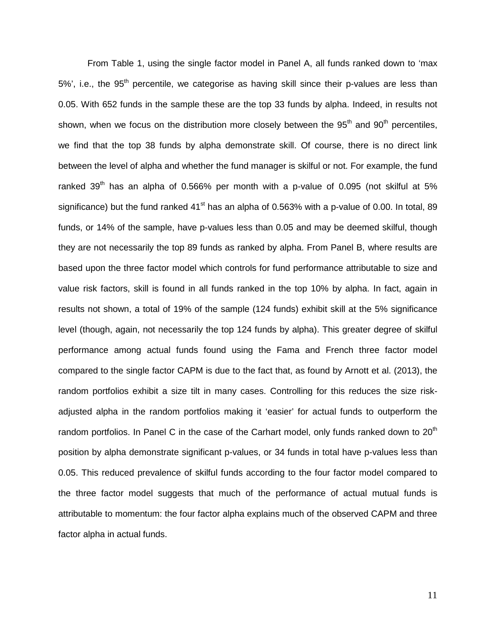From Table 1, using the single factor model in Panel A, all funds ranked down to 'max 5%', i.e., the 95<sup>th</sup> percentile, we categorise as having skill since their p-values are less than 0.05. With 652 funds in the sample these are the top 33 funds by alpha. Indeed, in results not shown, when we focus on the distribution more closely between the  $95<sup>th</sup>$  and  $90<sup>th</sup>$  percentiles, we find that the top 38 funds by alpha demonstrate skill. Of course, there is no direct link between the level of alpha and whether the fund manager is skilful or not. For example, the fund ranked  $39<sup>th</sup>$  has an alpha of 0.566% per month with a p-value of 0.095 (not skilful at 5% significance) but the fund ranked  $41<sup>st</sup>$  has an alpha of 0.563% with a p-value of 0.00. In total, 89 funds, or 14% of the sample, have p-values less than 0.05 and may be deemed skilful, though they are not necessarily the top 89 funds as ranked by alpha. From Panel B, where results are based upon the three factor model which controls for fund performance attributable to size and value risk factors, skill is found in all funds ranked in the top 10% by alpha. In fact, again in results not shown, a total of 19% of the sample (124 funds) exhibit skill at the 5% significance level (though, again, not necessarily the top 124 funds by alpha). This greater degree of skilful performance among actual funds found using the Fama and French three factor model compared to the single factor CAPM is due to the fact that, as found by Arnott et al. (2013), the random portfolios exhibit a size tilt in many cases. Controlling for this reduces the size riskadjusted alpha in the random portfolios making it 'easier' for actual funds to outperform the random portfolios. In Panel C in the case of the Carhart model, only funds ranked down to  $20<sup>th</sup>$ position by alpha demonstrate significant p-values, or 34 funds in total have p-values less than 0.05. This reduced prevalence of skilful funds according to the four factor model compared to the three factor model suggests that much of the performance of actual mutual funds is attributable to momentum: the four factor alpha explains much of the observed CAPM and three factor alpha in actual funds.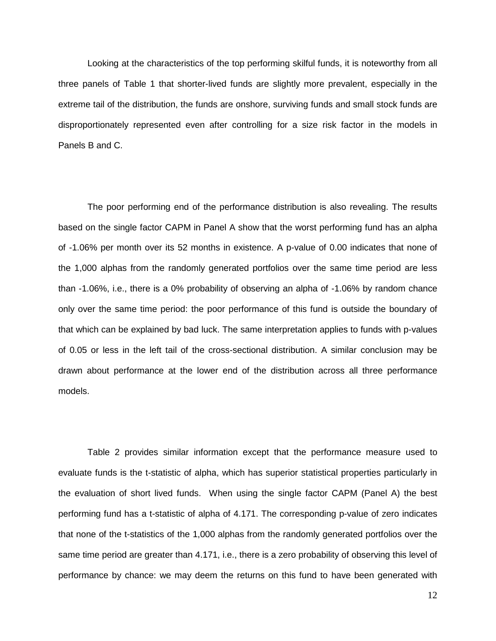Looking at the characteristics of the top performing skilful funds, it is noteworthy from all three panels of Table 1 that shorter-lived funds are slightly more prevalent, especially in the extreme tail of the distribution, the funds are onshore, surviving funds and small stock funds are disproportionately represented even after controlling for a size risk factor in the models in Panels B and C.

The poor performing end of the performance distribution is also revealing. The results based on the single factor CAPM in Panel A show that the worst performing fund has an alpha of -1.06% per month over its 52 months in existence. A p-value of 0.00 indicates that none of the 1,000 alphas from the randomly generated portfolios over the same time period are less than -1.06%, i.e., there is a 0% probability of observing an alpha of -1.06% by random chance only over the same time period: the poor performance of this fund is outside the boundary of that which can be explained by bad luck. The same interpretation applies to funds with p-values of 0.05 or less in the left tail of the cross-sectional distribution. A similar conclusion may be drawn about performance at the lower end of the distribution across all three performance models.

Table 2 provides similar information except that the performance measure used to evaluate funds is the t-statistic of alpha, which has superior statistical properties particularly in the evaluation of short lived funds. When using the single factor CAPM (Panel A) the best performing fund has a t-statistic of alpha of 4.171. The corresponding p-value of zero indicates that none of the t-statistics of the 1,000 alphas from the randomly generated portfolios over the same time period are greater than 4.171, i.e., there is a zero probability of observing this level of performance by chance: we may deem the returns on this fund to have been generated with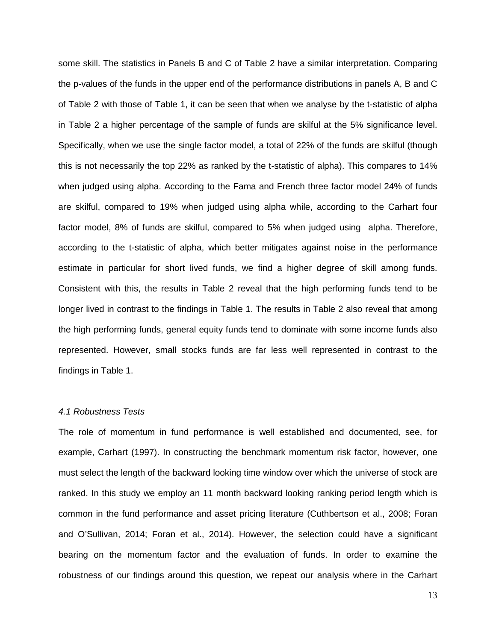some skill. The statistics in Panels B and C of Table 2 have a similar interpretation. Comparing the p-values of the funds in the upper end of the performance distributions in panels A, B and C of Table 2 with those of Table 1, it can be seen that when we analyse by the t-statistic of alpha in Table 2 a higher percentage of the sample of funds are skilful at the 5% significance level. Specifically, when we use the single factor model, a total of 22% of the funds are skilful (though this is not necessarily the top 22% as ranked by the t-statistic of alpha). This compares to 14% when judged using alpha. According to the Fama and French three factor model 24% of funds are skilful, compared to 19% when judged using alpha while, according to the Carhart four factor model, 8% of funds are skilful, compared to 5% when judged using alpha. Therefore, according to the t-statistic of alpha, which better mitigates against noise in the performance estimate in particular for short lived funds, we find a higher degree of skill among funds. Consistent with this, the results in Table 2 reveal that the high performing funds tend to be longer lived in contrast to the findings in Table 1. The results in Table 2 also reveal that among the high performing funds, general equity funds tend to dominate with some income funds also represented. However, small stocks funds are far less well represented in contrast to the findings in Table 1.

## *4.1 Robustness Tests*

The role of momentum in fund performance is well established and documented, see, for example, Carhart (1997). In constructing the benchmark momentum risk factor, however, one must select the length of the backward looking time window over which the universe of stock are ranked. In this study we employ an 11 month backward looking ranking period length which is common in the fund performance and asset pricing literature (Cuthbertson et al., 2008; Foran and O'Sullivan, 2014; Foran et al., 2014). However, the selection could have a significant bearing on the momentum factor and the evaluation of funds. In order to examine the robustness of our findings around this question, we repeat our analysis where in the Carhart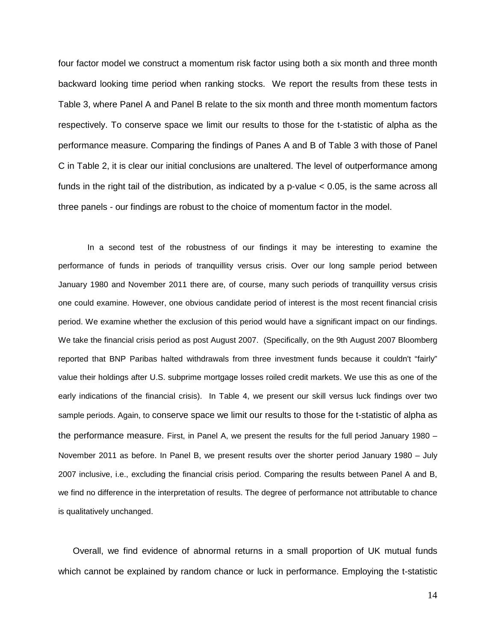four factor model we construct a momentum risk factor using both a six month and three month backward looking time period when ranking stocks. We report the results from these tests in Table 3, where Panel A and Panel B relate to the six month and three month momentum factors respectively. To conserve space we limit our results to those for the t-statistic of alpha as the performance measure. Comparing the findings of Panes A and B of Table 3 with those of Panel C in Table 2, it is clear our initial conclusions are unaltered. The level of outperformance among funds in the right tail of the distribution, as indicated by a p-value < 0.05, is the same across all three panels - our findings are robust to the choice of momentum factor in the model.

In a second test of the robustness of our findings it may be interesting to examine the performance of funds in periods of tranquillity versus crisis. Over our long sample period between January 1980 and November 2011 there are, of course, many such periods of tranquillity versus crisis one could examine. However, one obvious candidate period of interest is the most recent financial crisis period. We examine whether the exclusion of this period would have a significant impact on our findings. We take the financial crisis period as post August 2007. (Specifically, on the 9th August 2007 Bloomberg reported that BNP Paribas halted withdrawals from three investment funds because it couldn't "fairly" value their holdings after U.S. subprime mortgage losses roiled credit markets. We use this as one of the early indications of the financial crisis). In Table 4, we present our skill versus luck findings over two sample periods. Again, to conserve space we limit our results to those for the t-statistic of alpha as the performance measure. First, in Panel A, we present the results for the full period January 1980 – November 2011 as before. In Panel B, we present results over the shorter period January 1980 – July 2007 inclusive, i.e., excluding the financial crisis period. Comparing the results between Panel A and B, we find no difference in the interpretation of results. The degree of performance not attributable to chance is qualitatively unchanged.

Overall, we find evidence of abnormal returns in a small proportion of UK mutual funds which cannot be explained by random chance or luck in performance. Employing the t-statistic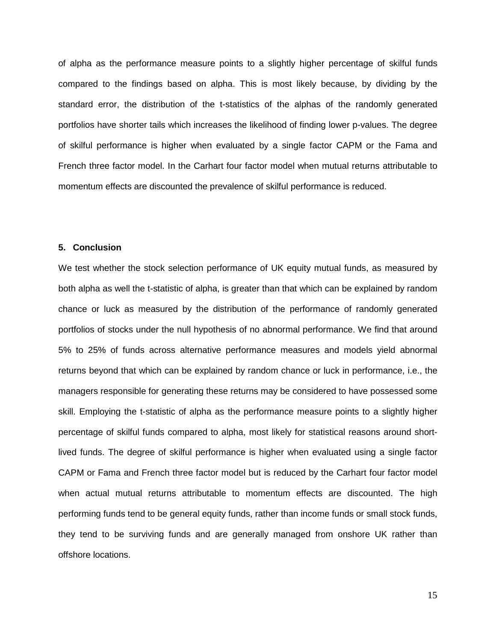of alpha as the performance measure points to a slightly higher percentage of skilful funds compared to the findings based on alpha. This is most likely because, by dividing by the standard error, the distribution of the t-statistics of the alphas of the randomly generated portfolios have shorter tails which increases the likelihood of finding lower p-values. The degree of skilful performance is higher when evaluated by a single factor CAPM or the Fama and French three factor model. In the Carhart four factor model when mutual returns attributable to momentum effects are discounted the prevalence of skilful performance is reduced.

## **5. Conclusion**

We test whether the stock selection performance of UK equity mutual funds, as measured by both alpha as well the t-statistic of alpha, is greater than that which can be explained by random chance or luck as measured by the distribution of the performance of randomly generated portfolios of stocks under the null hypothesis of no abnormal performance. We find that around 5% to 25% of funds across alternative performance measures and models yield abnormal returns beyond that which can be explained by random chance or luck in performance, i.e., the managers responsible for generating these returns may be considered to have possessed some skill. Employing the t-statistic of alpha as the performance measure points to a slightly higher percentage of skilful funds compared to alpha, most likely for statistical reasons around shortlived funds. The degree of skilful performance is higher when evaluated using a single factor CAPM or Fama and French three factor model but is reduced by the Carhart four factor model when actual mutual returns attributable to momentum effects are discounted. The high performing funds tend to be general equity funds, rather than income funds or small stock funds, they tend to be surviving funds and are generally managed from onshore UK rather than offshore locations.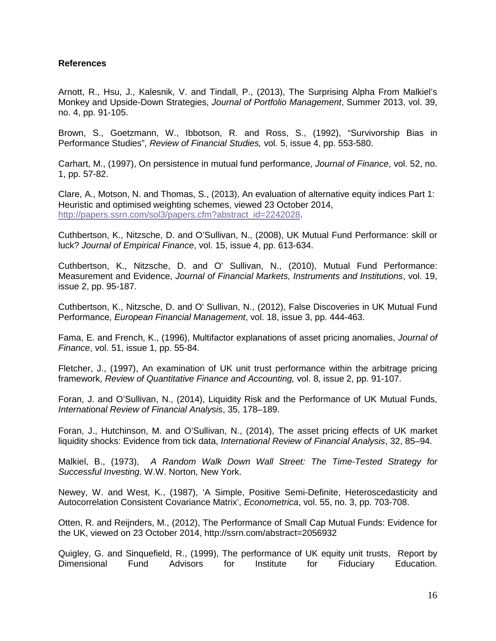## **References**

Arnott, R., Hsu, J., Kalesnik, V. and Tindall, P., (2013), The Surprising Alpha From Malkiel's Monkey and Upside-Down Strategies, *Journal of Portfolio Management*, Summer 2013, vol. 39, no. 4, pp. 91-105.

Brown, S., Goetzmann, W., Ibbotson, R. and Ross, S., (1992), "Survivorship Bias in Performance Studies", *Review of Financial Studies,* vol*.* 5, issue 4, pp. 553-580.

Carhart, M., (1997), On persistence in mutual fund performance, *Journal of Finance*, vol. 52, no. 1, pp. 57-82.

Clare, A., Motson, N. and Thomas, S., (2013), An evaluation of alternative equity indices Part 1: Heuristic and optimised weighting schemes, viewed 23 October 2014, [http://papers.ssrn.com/sol3/papers.cfm?abstract\\_id=2242028.](http://papers.ssrn.com/sol3/papers.cfm?abstract_id=2242028)

Cuthbertson, K., Nitzsche, D. and O'Sullivan, N., (2008), UK Mutual Fund Performance: skill or luck? *Journal of Empirical Finance*, vol. 15, issue 4, pp. 613-634.

Cuthbertson, K., Nitzsche, D. and O' Sullivan, N., (2010), Mutual Fund Performance: Measurement and Evidence, *Journal of Financial Markets, Instruments and Institutions*, vol. 19, issue 2, pp. 95-187.

Cuthbertson, K., Nitzsche, D. and O' Sullivan, N., (2012), False Discoveries in UK Mutual Fund Performance, *European Financial Management*, vol. 18, issue 3, pp. 444-463.

Fama, E. and French, K., (1996), Multifactor explanations of asset pricing anomalies, *Journal of Finance*, vol. 51, issue 1, pp. 55-84.

Fletcher, J., (1997), An examination of UK unit trust performance within the arbitrage pricing framework, *Review of Quantitative Finance and Accounting,* vol. 8, issue 2, pp. 91-107.

Foran, J. and O'Sullivan, N., (2014), Liquidity Risk and the Performance of UK Mutual Funds, *International Review of Financial Analysis*, 35, 178–189.

Foran, J., Hutchinson, M. and O'Sullivan, N., (2014), The asset pricing effects of UK market liquidity shocks: Evidence from tick data, *International Review of Financial Analysis*, 32, 85–94.

Malkiel, B., (1973), *A Random Walk Down Wall Street: The Time-Tested Strategy for Successful Investing*. W.W. Norton, New York.

Newey, W. and West, K., (1987), 'A Simple, Positive Semi-Definite, Heteroscedasticity and Autocorrelation Consistent Covariance Matrix', *Econometrica*, vol. 55, no. 3, pp. 703-708.

Otten, R. and Reijnders, M., (2012), The Performance of Small Cap Mutual Funds: Evidence for the UK, viewed on 23 October 2014,<http://ssrn.com/abstract=2056932>

Quigley, G. and Sinquefield, R., (1999), The performance of UK equity unit trusts, Report by Dimensional Fund Advisors for Institute for Fiduciary Education.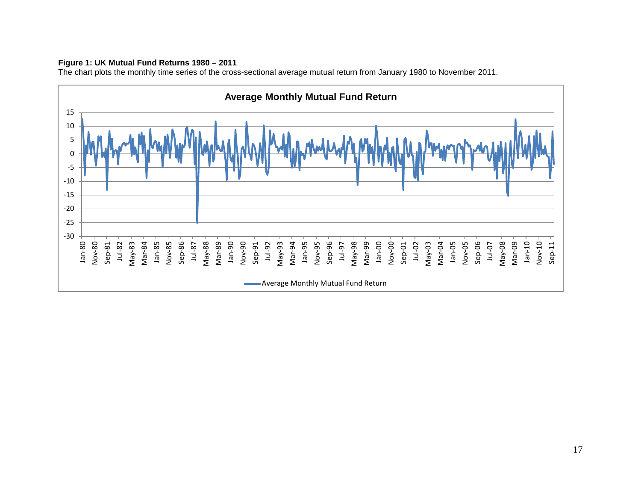## **Figure 1: UK Mutual Fund Returns 1980 – 2011**

The chart plots the monthly time series of the cross-sectional average mutual return from January 1980 to November 2011.

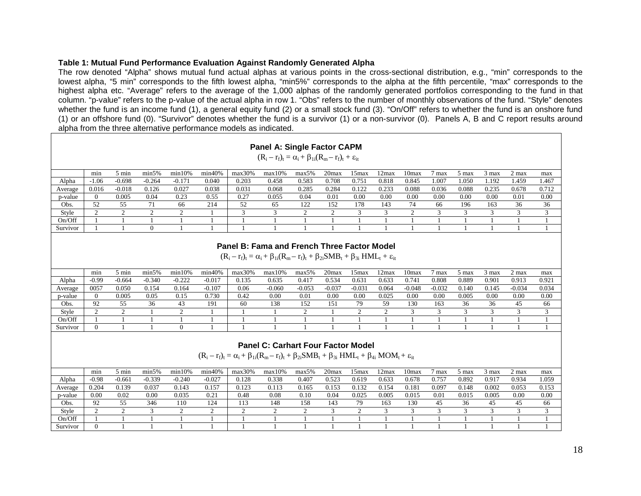#### **Table 1: Mutual Fund Performance Evaluation Against Randomly Generated Alpha**

The row denoted "Alpha" shows mutual fund actual alphas at various points in the cross-sectional distribution, e.g., "min" corresponds to the lowest alpha, "5 min" corresponds to the fifth lowest alpha, "min5%" corresponds to the alpha at the fifth percentile, "max" corresponds to the highest alpha etc. "Average" refers to the average of the 1,000 alphas of the randomly generated portfolios corresponding to the fund in that column. "p-value" refers to the p-value of the actual alpha in row 1. "Obs" refers to the number of monthly observations of the fund. "Style" denotes whether the fund is an income fund (1), a general equity fund (2) or a small stock fund (3). "On/Off" refers to whether the fund is an onshore fund (1) or an offshore fund (0). "Survivor" denotes whether the fund is a survivor (1) or a non-survivor (0). Panels A, B and C report results around alpha from the three alternative performance models as indicated.

|          |                                                                                                                                                                               |          |       |       |       |       | <b>Panel A: Single Factor CAPM</b><br>$(R_i - r_f)_t = \alpha_i + \beta_{1i}(R_m - r_f)_t + \varepsilon_{it}$ |       |       |       |       |       |       |       |       |       |       |
|----------|-------------------------------------------------------------------------------------------------------------------------------------------------------------------------------|----------|-------|-------|-------|-------|---------------------------------------------------------------------------------------------------------------|-------|-------|-------|-------|-------|-------|-------|-------|-------|-------|
|          | min40%<br>$max30\%$<br>5 min<br>min5%<br>min10%<br>$max10\%$<br>20 <sub>max</sub><br>15max<br>.2max<br>l Omax<br>max5%<br>2 max<br>min<br>max<br><i>i</i> max<br>3 max<br>max |          |       |       |       |       |                                                                                                               |       |       |       |       |       |       |       |       |       |       |
| Alpha    | 1.467<br>0.203<br>1.459<br>$-1.06$<br>$-0.171$<br>0.040<br>0.583<br>0.708<br>0.845<br>.050<br>1.192<br>$-0.264$<br>0.458<br>0.75<br>0.818<br>1.007<br>$-0.698$                |          |       |       |       |       |                                                                                                               |       |       |       |       |       |       |       |       |       |       |
| Average  | 0.016                                                                                                                                                                         | $-0.018$ | 0.126 | 0.027 | 0.038 | 0.031 | 0.068                                                                                                         | 0.285 | 0.284 | 0.122 | 0.233 | 0.088 | 0.036 | 0.088 | 0.235 | 0.678 | 0.712 |
| p-value  | $\theta$                                                                                                                                                                      | 0.005    | 0.04  | 0.23  | 0.55  | 0.27  | 0.055                                                                                                         | 0.04  | 0.01  | 0.00  | 0.00  | 0.00  | 0.00  | 0.00  | 0.00  | 0.01  | 0.00  |
| Obs.     | 52                                                                                                                                                                            | 55       |       | 66    | 214   | 52    | -65                                                                                                           | 122   | 152   | 178   | 143   | 74    | -66   | 196   | 163   | 36    | 36    |
| Style    |                                                                                                                                                                               |          |       |       |       |       |                                                                                                               |       |       |       |       |       |       |       |       |       | 3     |
| On/Off   |                                                                                                                                                                               |          |       |       |       |       |                                                                                                               |       |       |       |       |       |       |       |       |       |       |
| Survivor |                                                                                                                                                                               |          |       |       |       |       |                                                                                                               |       |       |       |       |       |       |       |       |       |       |

#### **Panel B: Fama and French Three Factor Model**

 $(R_i - r_f)_t = \alpha_i + \beta_{1i}(R_m - r_f)_t + \beta_{2i}SMB_t + \beta_{3i}HML_t + \varepsilon_{it}$ 

|          | min            | i min    | min5%    | $min10\%$ | .140%<br>min | max30% | $max10\%$ | max5%           | 20 <sub>max</sub> | 5max     | 2max  | 10max    | max      | max   | max   | 2 max    | max   |
|----------|----------------|----------|----------|-----------|--------------|--------|-----------|-----------------|-------------------|----------|-------|----------|----------|-------|-------|----------|-------|
| Alpha    | $-0.99$        | $-0.664$ | $-0.340$ | $-0.222$  | $-0.017$     | 0.135  | 0.635     | 0.417           | 0.534             | 0.63.    | 0.635 | 0.741    | 0.808    | 0.889 | 0.901 | 0.913    | 0.921 |
| Average  | 0057           | 0.050    | 0.154    | 0.164     | $-0.107$     | 0.06   | $-0.060$  | $-0.05^{\circ}$ | $-0.037$          | $-0.03$  | 0.064 | $-0.048$ | $-0.032$ | 0.140 | 0.145 | $-0.034$ | 0.034 |
| p-value  | $\Omega$       | 0.005    | 0.05     | 0.15      | 0.730        | 0.42   | 0.00      | 0.01            | 0.00              | $0.00\,$ | 0.025 | 0.00     | 0.00     | 0.005 | 0.00  | 0.00     | 0.00  |
| Obs.     | $\Omega$<br>′∸ | 55       | 36       | -43       | 191          | 60     | 138       | 152             | 15.               | 79       | 59    | 130      | 163      | 36    | 36    | -45      | 66    |
| Style    |                |          |          |           |              |        |           |                 |                   |          |       |          |          |       |       |          |       |
| On/Off   |                |          |          |           |              |        |           |                 |                   |          |       |          |          |       |       |          |       |
| Survivor |                |          |          |           |              |        |           |                 |                   |          |       |          |          |       |       |          |       |

#### **Panel C: Carhart Four Factor Model**

 $(R_i - r_f)_t = \alpha_i + \beta_{1i}(R_m - r_f)_t + \beta_{2i}SMB_t + \beta_{3i}HML_t + \beta_{4i}MOM_t + \varepsilon_{it}$ 

|          | min     | y min    | min5%    | min10%   | min40%   | max30% | $max10\%$ | max5% | 20 <sub>max</sub> | 5 <sub>max</sub> | 2 <sub>max</sub> | 10max | max            | max   | max   | 2 max | max   |
|----------|---------|----------|----------|----------|----------|--------|-----------|-------|-------------------|------------------|------------------|-------|----------------|-------|-------|-------|-------|
| Alpha    | $-0.98$ | $-0.661$ | $-0.339$ | $-0.240$ | $-0.027$ | 0.128  | 0.338     | 0.407 | 0.523             | J.619            | 0.633            | 0.678 | $0.75^{\circ}$ | 0.892 | 0.917 | 0.934 | 1.059 |
| Average  | 0.204   | 0.139    | 0.037    | 0.143    | 0.157    | 0.123  | 0.113     | 0.165 | 0.153             | 132              | 0.154            | 0.181 | 0.097          | 0.148 | 0.002 | 0.053 | 0.153 |
| p-value  | 0.00    | 0.02     | 0.00     | 0.035    | 0.2      | 0.48   | 0.08      | 0.10  | 0.04              | 0.025            | 0.005            | 0.015 | 0.0            | 0.013 | 0.005 | 0.00  | 0.00  |
| Obs.     | 92      | 55       | 346      | 110      | 124      | 113    | 148       | 158   | 143               | 79               | 163              | 130   | 45             | 36    | 45    | 45    | 66    |
| Style    |         |          |          |          |          |        |           |       |                   |                  |                  |       |                |       |       |       |       |
| On/Off   |         |          |          |          |          |        |           |       |                   |                  |                  |       |                |       |       |       |       |
| Survivor |         |          |          |          |          |        |           |       |                   |                  |                  |       |                |       |       |       |       |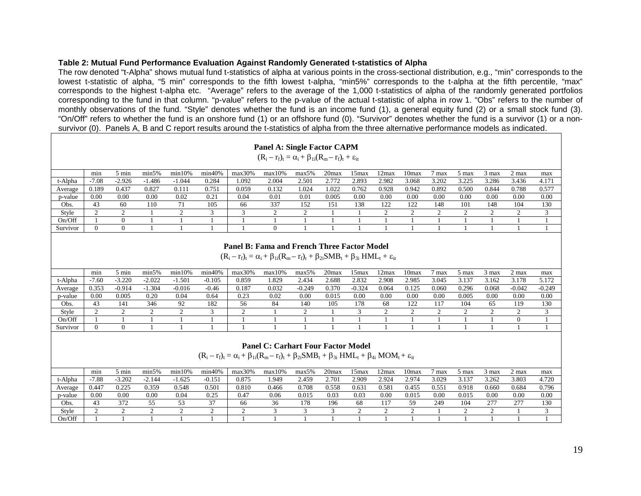#### **Table 2: Mutual Fund Performance Evaluation Against Randomly Generated t-statistics of Alpha**

The row denoted "t-Alpha" shows mutual fund t-statistics of alpha at various points in the cross-sectional distribution, e.g., "min" corresponds to the lowest t-statistic of alpha, "5 min" corresponds to the fifth lowest t-alpha, "min5%" corresponds to the t-alpha at the fifth percentile, "max" corresponds to the highest t-alpha etc. "Average" refers to the average of the 1,000 t-statistics of alpha of the randomly generated portfolios corresponding to the fund in that column. "p-value" refers to the p-value of the actual t-statistic of alpha in row 1. "Obs" refers to the number of monthly observations of the fund. "Style" denotes whether the fund is an income fund (1), a general equity fund (2) or a small stock fund (3). "On/Off" refers to whether the fund is an onshore fund (1) or an offshore fund (0). "Survivor" denotes whether the fund is a survivor (1) or a nonsurvivor (0). Panels A, B and C report results around the t-statistics of alpha from the three alternative performance models as indicated.

|          |                                                                                                                                                                                              |       |       |       |       |       | <b>Panel A: Single Factor CAPM</b><br>$(R_i - r_f)_t = \alpha_i + \beta_{1i}(R_m - r_f)_t + \varepsilon_{it}$ |       |       |       |       |       |       |       |       |       |       |
|----------|----------------------------------------------------------------------------------------------------------------------------------------------------------------------------------------------|-------|-------|-------|-------|-------|---------------------------------------------------------------------------------------------------------------|-------|-------|-------|-------|-------|-------|-------|-------|-------|-------|
|          | min40%<br>$5 \text{ min}$<br>min5%<br>min10%<br>$max30\%$<br>$max10\%$<br>20 <sub>max</sub><br>15 <sub>max</sub><br>10max<br>2max<br>$2$ max<br>max5%<br>3 max<br>max<br>min<br>5 max<br>max |       |       |       |       |       |                                                                                                               |       |       |       |       |       |       |       |       |       |       |
| t-Alpha  | 4.171<br>$-7.08$<br>$-1.044$<br>0.284<br>1.092<br>3.202<br>3.286<br>3.436<br>$-2.926$<br>2.004<br>2.501<br>2.772<br>2.893<br>2.982<br>3.068<br>3.225<br>$-1.486$                             |       |       |       |       |       |                                                                                                               |       |       |       |       |       |       |       |       |       |       |
| Average  | 0.189                                                                                                                                                                                        | 0.437 | 0.827 | 0.111 | 0.751 | 0.059 | 0.132                                                                                                         | 1.024 | 1.022 | 0.762 | 0.928 | 0.942 | 0.892 | 0.500 | 0.844 | 0.788 | 0.577 |
| p-value  | 0.00                                                                                                                                                                                         | 0.00  | 0.00  | 0.02  | 0.21  | 0.04  | 0.01                                                                                                          | 0.01  | 0.005 | 0.00  | 0.00  | 0.00  | 0.00  | 0.00  | 0.00  | 0.00  | 0.00  |
| Obs.     | 43                                                                                                                                                                                           | 60    | 110   | 71    | 105   | 66    | 337                                                                                                           | 152   | 151   | 138   | 122   | 122   | 148   | 101   | 148   | 104   | 130   |
| Style    | ◠                                                                                                                                                                                            |       |       |       |       |       |                                                                                                               |       |       |       |       |       |       |       |       |       | 3     |
| On/Off   |                                                                                                                                                                                              |       |       |       |       |       |                                                                                                               |       |       |       |       |       |       |       |       |       |       |
| Survivor | $\Omega$                                                                                                                                                                                     | -0    |       |       |       |       |                                                                                                               |       |       |       |       |       |       |       |       |       |       |

#### **Panel B: Fama and French Three Factor Model**

 $(R_i - r_f)_t = \alpha_i + \beta_{1i}(R_m - r_f)_t + \beta_{2i}SMB_t + \beta_{3i}HML_t + \epsilon_{it}$ 

|                 | min     | min        | min5%                            | min10%   | min40%   | $max30\%$ | max10% | max5%         | 20 <sub>max</sub> | 5 <sub>max</sub> | 2max  | 10max | max   | max   | 5 max | 2 max    | max      |
|-----------------|---------|------------|----------------------------------|----------|----------|-----------|--------|---------------|-------------------|------------------|-------|-------|-------|-------|-------|----------|----------|
| t <b>-Alpha</b> | $-7.60$ | $-3.220$   | $-2.022$                         | . .501   | $-0.105$ | 0.859     | 1.829  | $\angle .434$ | 2.688             | 2.837            | 2.908 | 2.985 | 3.045 | 15    | 3.162 | 3.178    | 5.172    |
| Average         | 0.353   | $-0.914$   | .304<br>$\overline{\phantom{a}}$ | $-0.016$ | $-0.46$  | 0.187     | 0.032  | $-0.249$      | J.370             | $-0.324$         | 0.064 | 0.125 | 0.060 | 0.296 | 0.068 | $-0.042$ | $-0.249$ |
| p-value         | 0.00    | $_{0.005}$ | 0.20                             | 0.04     | 0.64     | 0.23      | 0.02   | $_{0.00}$     | 0.01'             | 0.00             | 0.00  | 0.0C  | 0.00  | 0.005 | 0.00  | 0.00     | 0.00     |
| Obs.            | 43      | 141        | 346                              | 92       | 182      | 56        | 84     | $140^{\circ}$ | 105               | 178              | 68    | 122   |       | 104   | 65    | 119      | 130      |
| Style           |         |            |                                  |          |          |           |        |               |                   |                  |       |       |       |       |       |          |          |
| On/Off          |         |            |                                  |          |          |           |        |               |                   |                  |       |       |       |       |       |          |          |
| Survivor        |         |            |                                  |          |          |           |        |               |                   |                  |       |       |       |       |       |          |          |

#### **Panel C: Carhart Four Factor Model**

 $(R_i - r_f)_t = \alpha_i + \beta_{1i}(R_m - r_f)_t + \beta_{2i}SMB_t + \beta_{3i}HML_t + \beta_{4i}MOM_t + \varepsilon_{it}$ 

|         | min     | min   | min5% | min10% | min40%       | $max30\%$ | max10% | max5%        | 20 <sub>max</sub> | 5 <sub>max</sub> | ∡2ma× | 10max | max   | <i>max</i> | 3 max     | 2 max | max   |
|---------|---------|-------|-------|--------|--------------|-----------|--------|--------------|-------------------|------------------|-------|-------|-------|------------|-----------|-------|-------|
| t-Alpha | $-7.88$ | 3.202 | 2.144 | .625   | 0.151        | 0.875     | .949   | $\angle 459$ | 2.701             | 2.909            | 2.924 | 2.974 | 3.029 | 3.137      | 3.262     | 3.803 | 4.720 |
| Average | 0.447   | 0.225 | 0.359 | 0.548  | 0.501        | 0.810     | 0.466  | J.708        | ).558             | 0.63             | 0.58  | ገ 45  | ).55  | 0.918      | 0.660     | 0.684 | 0.796 |
| p-value | 0.00    | 0.00  | 0.00  | 0.04   | ስ ኃና<br>U.∠. | $0.4^{-}$ | 0.06   | $0.01^{4}$   | 0.03              | 0.03             | 0.0   | 0.01: | 0.00  | 0.015      | 0.00      | 0.0(  | 0.00  |
| Obs.    | 43      | 372   |       |        |              | 66        | 36     | 178          | 196               | 68               |       | 50    | 249   | 104        | 27'<br>້≀ | 277   | 130   |
| Style   |         |       |       |        |              |           |        |              |                   |                  |       |       |       |            |           |       |       |
| On/Off  |         |       |       |        |              |           |        |              |                   |                  |       |       |       |            |           |       |       |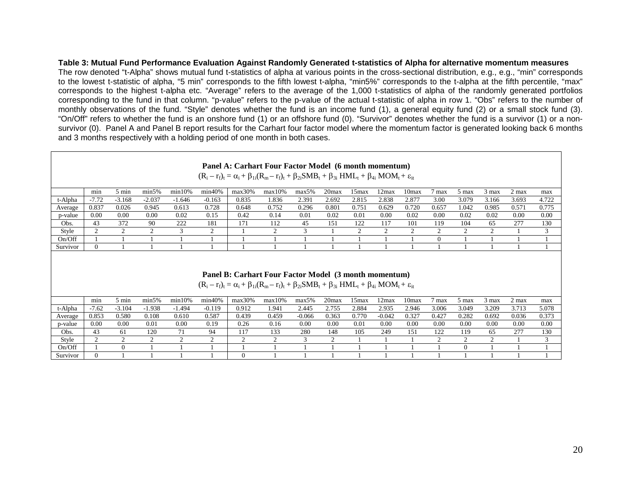#### **Table 3: Mutual Fund Performance Evaluation Against Randomly Generated t-statistics of Alpha for alternative momentum measures**

The row denoted "t-Alpha" shows mutual fund t-statistics of alpha at various points in the cross-sectional distribution, e.g., e.g., "min" corresponds to the lowest t-statistic of alpha, "5 min" corresponds to the fifth lowest t-alpha, "min5%" corresponds to the t-alpha at the fifth percentile, "max" corresponds to the highest t-alpha etc. "Average" refers to the average of the 1,000 t-statistics of alpha of the randomly generated portfolios corresponding to the fund in that column. "p-value" refers to the p-value of the actual t-statistic of alpha in row 1. "Obs" refers to the number of monthly observations of the fund. "Style" denotes whether the fund is an income fund (1), a general equity fund (2) or a small stock fund (3). "On/Off" refers to whether the fund is an onshore fund (1) or an offshore fund (0). "Survivor" denotes whether the fund is a survivor (1) or a nonsurvivor (0). Panel A and Panel B report results for the Carhart four factor model where the momentum factor is generated looking back 6 months and 3 months respectively with a holding period of one month in both cases.

|          |                |                 |          |          |           |           | Panel A: Carhart Four Factor Model (6 month momentum)<br>$(R_i - r_f)_t = \alpha_i + \beta_{1i}(R_m - r_f)_t + \beta_{2i}SMB_t + \beta_{3i}HML_t + \beta_{4i}MOM_t + \varepsilon_{it}$ |            |                   |       |       |                   |        |       |       |       |       |
|----------|----------------|-----------------|----------|----------|-----------|-----------|----------------------------------------------------------------------------------------------------------------------------------------------------------------------------------------|------------|-------------------|-------|-------|-------------------|--------|-------|-------|-------|-------|
|          | min            | $5 \text{ min}$ | min5%    | min10%   | min40%    | $max30\%$ | $max10\%$                                                                                                                                                                              | max5%      | 20 <sub>max</sub> | 15max | 12max | 10 <sub>max</sub> | 7 max  | 5 max | 3 max | 2 max | max   |
| t-Alpha  | $-7.72$        | $-3.168$        | $-2.037$ | $-1.646$ | $-0.163$  | 0.835     | 1.836                                                                                                                                                                                  | 2.391      | 2.692             | 2.815 | 2.838 | 2.877             | 3.00   | 3.079 | 3.166 | 3.693 | 4.722 |
| Average  | 0.837          | 0.026           | 0.945    | 0.613    | 0.728     | 0.648     | 0.752                                                                                                                                                                                  | 0.296      | 0.801             | 0.751 | 0.629 | 0.720             | 0.657  | 1.042 | 0.985 | 0.571 | 0.775 |
| p-value  | 0.00           | 0.00            | 0.00     | 0.02     | 0.15      | 0.42      | 0.14                                                                                                                                                                                   | 0.01       | 0.02              | 0.01  | 0.00  | 0.02              | 0.00   | 0.02  | 0.02  | 0.00  | 0.00  |
| Obs.     | 43             | 372             | 90       | 222      | 181       | 171       | 112                                                                                                                                                                                    | 45         | 151               | 122   | 117   | 101               | 119    | 104   | 65    | 277   | 130   |
| Style    | $\overline{2}$ | ◠               |          |          | $\bigcap$ |           |                                                                                                                                                                                        | $\sqrt{2}$ |                   |       |       |                   |        |       |       |       | 3     |
| On/Off   |                |                 |          |          |           |           |                                                                                                                                                                                        |            |                   |       |       |                   | $_{0}$ |       |       |       |       |
| Survivor |                |                 |          |          |           |           |                                                                                                                                                                                        |            |                   |       |       |                   |        |       |       |       |       |
|          |                |                 |          |          |           |           |                                                                                                                                                                                        |            |                   |       |       |                   |        |       |       |       |       |

#### **Panel B: Carhart Four Factor Model (3 month momentum)**

|          |         |          |          |          | $\mathbf{u}$<br>$-1/1$ |           | $\omega_1$ PIN-M $\omega_1$ P20-1120 P31 H $\omega_1$ P41 $\cdots$ |          |                   |       |          |       |       |       |       |       |       |
|----------|---------|----------|----------|----------|------------------------|-----------|--------------------------------------------------------------------|----------|-------------------|-------|----------|-------|-------|-------|-------|-------|-------|
|          | min     | 5 min    | min5%    | min10%   | min40%                 | $max30\%$ | $max10\%$                                                          | max5%    | 20 <sub>max</sub> | 5max  | . 2max   | 10max | max   | 5 max | 3 max | 2 max | max   |
| t-Alpha  | $-7.62$ | $-3.104$ | $-1.938$ | $-1.494$ | $-0.119$               | 0.912     | 1.941                                                              | 2.445    | 2.755             | 2.884 | 2.935    | 2.946 | 3.006 | 3.049 | 3.209 | 3.713 | 5.078 |
| Average  | 0.853   | 0.580    | 0.108    | 0.610    | 0.587                  | 0.439     | 0.459                                                              | $-0.066$ | 0.363             | 0.770 | $-0.042$ | 0.327 | 0.427 | 0.282 | 0.692 | 0.036 | 0.373 |
| p-value  | 0.00    | 0.00     | 0.01     | 0.00     | 0.19                   | 0.26      | 0.16                                                               | 0.00     | 0.00              | 0.01  | 0.00     | 0.00  | 0.00  | 0.00  | 0.00  | 0.00  | 0.00  |
| Obs.     | 43      | 61       | 120      | 71       | 94                     | 117       | 133                                                                | 280      | 148               | 105   | 249      | 151   | 122   | 119   | 65    | 277   | 130   |
| Style    |         |          |          |          |                        |           |                                                                    |          |                   |       |          |       |       |       |       |       |       |
| On/Off   |         |          |          |          |                        |           |                                                                    |          |                   |       |          |       |       |       |       |       |       |
| Survivor |         |          |          |          |                        |           |                                                                    |          |                   |       |          |       |       |       |       |       |       |

## $(R_1 - r_2) = \alpha + \beta_1 (R_1 - r_2) + \beta_2 SMR_1 + \beta_2 SMM_2 + \beta_3 SMM_3 + \beta_4 SMM_4 + \epsilon_4 S$